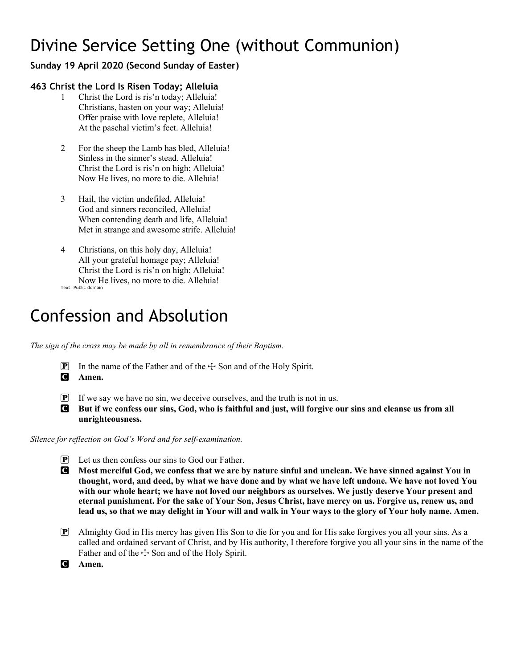# Divine Service Setting One (without Communion)

# **Sunday 19 April 2020 (Second Sunday of Easter)**

## **463 Christ the Lord Is Risen Today; Alleluia**

- 1 Christ the Lord is ris'n today; Alleluia! Christians, hasten on your way; Alleluia! Offer praise with love replete, Alleluia! At the paschal victim's feet. Alleluia!
- 2 For the sheep the Lamb has bled, Alleluia! Sinless in the sinner's stead. Alleluia! Christ the Lord is ris'n on high; Alleluia! Now He lives, no more to die. Alleluia!
- 3 Hail, the victim undefiled, Alleluia! God and sinners reconciled, Alleluia! When contending death and life, Alleluia! Met in strange and awesome strife. Alleluia!
- 4 Christians, on this holy day, Alleluia! All your grateful homage pay; Alleluia! Christ the Lord is ris'n on high; Alleluia! Now He lives, no more to die. Alleluia!

Text: Public domain

# Confession and Absolution

*The sign of the cross may be made by all in remembrance of their Baptism.*

**P** In the name of the Father and of the  $\div$  Son and of the Holy Spirit.

C **Amen.**

- $\mathbf{P}$  If we say we have no sin, we deceive ourselves, and the truth is not in us.
- C **But if we confess our sins, God, who is faithful and just, will forgive our sins and cleanse us from all unrighteousness.**

*Silence for reflection on God's Word and for self-examination.*

- P Let us then confess our sins to God our Father.
- C **Most merciful God, we confess that we are by nature sinful and unclean. We have sinned against You in thought, word, and deed, by what we have done and by what we have left undone. We have not loved You with our whole heart; we have not loved our neighbors as ourselves. We justly deserve Your present and eternal punishment. For the sake of Your Son, Jesus Christ, have mercy on us. Forgive us, renew us, and lead us, so that we may delight in Your will and walk in Your ways to the glory of Your holy name. Amen.**
- P Almighty God in His mercy has given His Son to die for you and for His sake forgives you all your sins. As a called and ordained servant of Christ, and by His authority, I therefore forgive you all your sins in the name of the Father and of the  $+$  Son and of the Holy Spirit.
- C **Amen.**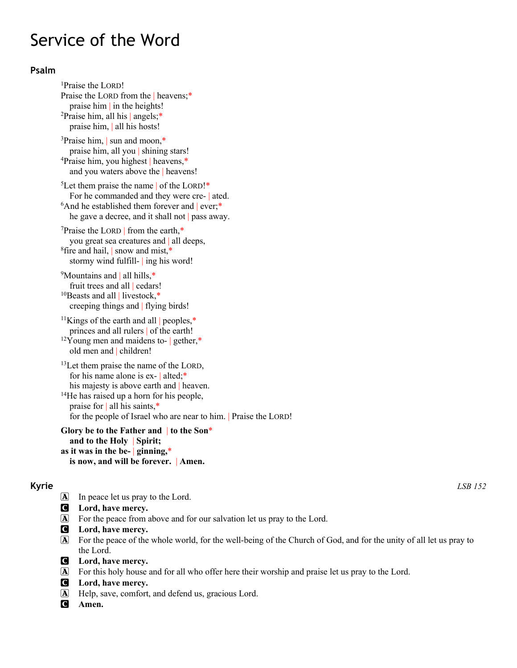# Service of the Word

## **Psalm**

<sup>1</sup>Praise the LORD! Praise the LORD from the | heavens;\* praise him | in the heights! 2Praise him, all his | angels;\* praise him, | all his hosts! 3Praise him, | sun and moon,\* praise him, all you | shining stars! 4 Praise him, you highest | heavens,\* and you waters above the | heavens! <sup>5</sup>Let them praise the name of the LORD!\* For he commanded and they were cre- | ated.  $6$ And he established them forever and ever;\* he gave a decree, and it shall not | pass away.  $7$ Praise the LORD | from the earth, $*$ you great sea creatures and | all deeps, <sup>8</sup>fire and hail, snow and mist,\* stormy wind fulfill- | ing his word! <sup>9</sup>Mountains and | all hills,\* fruit trees and all | cedars! <sup>10</sup>Beasts and all | livestock,\* creeping things and | flying birds! <sup>11</sup>Kings of the earth and all  $|$  peoples,\* princes and all rulers | of the earth!  $12\overline{Y}$ oung men and maidens to- | gether,\* old men and | children! <sup>13</sup>Let them praise the name of the LORD, for his name alone is ex- | alted;\* his majesty is above earth and | heaven. 14He has raised up a horn for his people, praise for | all his saints,\* for the people of Israel who are near to him. | Praise the LORD!

**Glory be to the Father and** | **to the Son**\* **and to the Holy** | **Spirit; as it was in the be-** | **ginning,**\* **is now, and will be forever.** | **Amen.**

- A In peace let us pray to the Lord.
- C **Lord, have mercy.**
- A For the peace from above and for our salvation let us pray to the Lord.
- C **Lord, have mercy.**
- A For the peace of the whole world, for the well-being of the Church of God, and for the unity of all let us pray to the Lord.
- C **Lord, have mercy.**
- A For this holy house and for all who offer here their worship and praise let us pray to the Lord.
- C **Lord, have mercy.**
- A Help, save, comfort, and defend us, gracious Lord.
- C **Amen.**

**Kyrie** *LSB 152*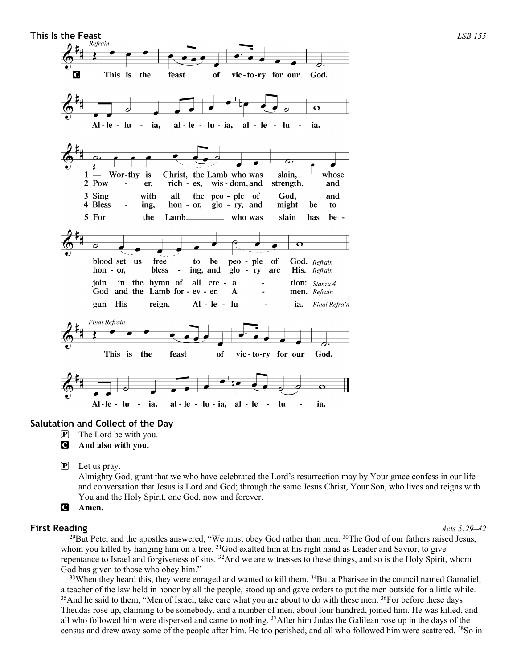

#### **Salutation and Collect of the Day**

- P The Lord be with you.
- C **And also with you.**

 $\mathbf{P}$  Let us pray.

Almighty God, grant that we who have celebrated the Lord's resurrection may by Your grace confess in our life and conversation that Jesus is Lord and God; through the same Jesus Christ, Your Son, who lives and reigns with You and the Holy Spirit, one God, now and forever.

```
C Amen.
```
#### **First Reading** *Acts 5:29–42*

 $^{29}$ But Peter and the apostles answered, "We must obey God rather than men.  $^{30}$ The God of our fathers raised Jesus, whom you killed by hanging him on a tree. <sup>31</sup>God exalted him at his right hand as Leader and Savior, to give repentance to Israel and forgiveness of sins. 32And we are witnesses to these things, and so is the Holy Spirit, whom God has given to those who obey him."

<sup>33</sup>When they heard this, they were enraged and wanted to kill them. <sup>34</sup>But a Pharisee in the council named Gamaliel, a teacher of the law held in honor by all the people, stood up and gave orders to put the men outside for a little while. <sup>35</sup>And he said to them, "Men of Israel, take care what you are about to do with these men. <sup>36</sup>For before these days Theudas rose up, claiming to be somebody, and a number of men, about four hundred, joined him. He was killed, and all who followed him were dispersed and came to nothing. 37After him Judas the Galilean rose up in the days of the census and drew away some of the people after him. He too perished, and all who followed him were scattered. 38So in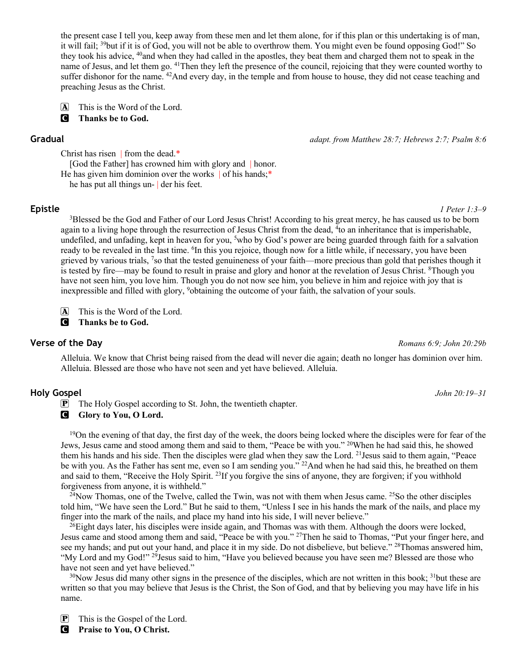the present case I tell you, keep away from these men and let them alone, for if this plan or this undertaking is of man, it will fail; 39but if it is of God, you will not be able to overthrow them. You might even be found opposing God!" So they took his advice, 40and when they had called in the apostles, they beat them and charged them not to speak in the name of Jesus, and let them go. 41Then they left the presence of the council, rejoicing that they were counted worthy to suffer dishonor for the name. <sup>42</sup>And every day, in the temple and from house to house, they did not cease teaching and preaching Jesus as the Christ.

A This is the Word of the Lord. C **Thanks be to God.**

**Gradual** *adapt. from Matthew 28:7; Hebrews 2:7; Psalm 8:6*

Christ has risen | from the dead.\*

[God the Father] has crowned him with glory and | honor.

He has given him dominion over the works of his hands;\*

he has put all things un- | der his feet.

**Epistle** *1 Peter 1:3–9*

<sup>3</sup>Blessed be the God and Father of our Lord Jesus Christ! According to his great mercy, he has caused us to be born again to a living hope through the resurrection of Jesus Christ from the dead, <sup>4</sup>to an inheritance that is imperishable, undefiled, and unfading, kept in heaven for you, <sup>5</sup>who by God's power are being guarded through faith for a salvation ready to be revealed in the last time. <sup>6</sup>In this you rejoice, though now for a little while, if necessary, you have been grieved by various trials, 7so that the tested genuineness of your faith—more precious than gold that perishes though it is tested by fire—may be found to result in praise and glory and honor at the revelation of Jesus Christ. <sup>8</sup>Though you have not seen him, you love him. Though you do not now see him, you believe in him and rejoice with joy that is inexpressible and filled with glory, 9obtaining the outcome of your faith, the salvation of your souls.

A This is the Word of the Lord.

C **Thanks be to God.**

### **Verse of the Day** *Romans 6:9; John 20:29b*

Alleluia. We know that Christ being raised from the dead will never die again; death no longer has dominion over him. Alleluia. Blessed are those who have not seen and yet have believed. Alleluia.

### **Holy Gospel** *John 20:19–31*

P The Holy Gospel according to St. John, the twentieth chapter.

**C** Glory to You, O Lord.

<sup>19</sup>On the evening of that day, the first day of the week, the doors being locked where the disciples were for fear of the Jews, Jesus came and stood among them and said to them, "Peace be with you." 20When he had said this, he showed them his hands and his side. Then the disciples were glad when they saw the Lord. 21Jesus said to them again, "Peace be with you. As the Father has sent me, even so I am sending you." <sup>22</sup>And when he had said this, he breathed on them and said to them, "Receive the Holy Spirit. 23If you forgive the sins of anyone, they are forgiven; if you withhold forgiveness from anyone, it is withheld."

 $^{24}$ Now Thomas, one of the Twelve, called the Twin, was not with them when Jesus came.  $^{25}$ So the other disciples told him, "We have seen the Lord." But he said to them, "Unless I see in his hands the mark of the nails, and place my finger into the mark of the nails, and place my hand into his side, I will never believe."

 $^{26}$ Eight days later, his disciples were inside again, and Thomas was with them. Although the doors were locked, Jesus came and stood among them and said, "Peace be with you." 27Then he said to Thomas, "Put your finger here, and see my hands; and put out your hand, and place it in my side. Do not disbelieve, but believe." <sup>28</sup>Thomas answered him, "My Lord and my God!" <sup>29</sup>Jesus said to him, "Have you believed because you have seen me? Blessed are those who have not seen and yet have believed."

 $30$ Now Jesus did many other signs in the presence of the disciples, which are not written in this book;  $31$ but these are written so that you may believe that Jesus is the Christ, the Son of God, and that by believing you may have life in his name.

P This is the Gospel of the Lord.

C **Praise to You, O Christ.**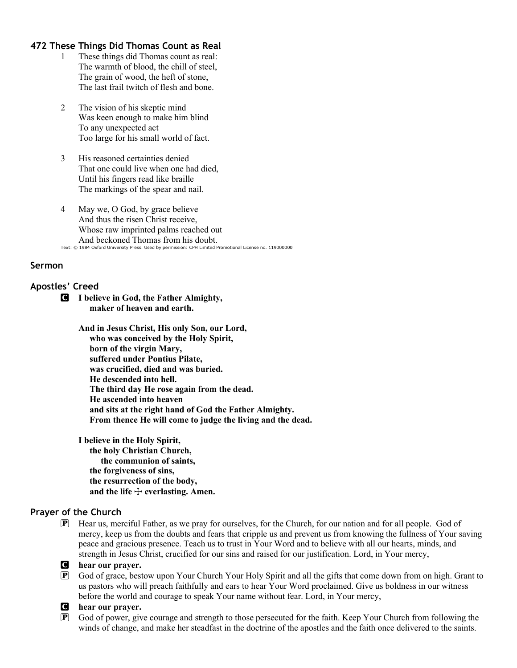### **472 These Things Did Thomas Count as Real**

- 1 These things did Thomas count as real: The warmth of blood, the chill of steel, The grain of wood, the heft of stone, The last frail twitch of flesh and bone.
- 2 The vision of his skeptic mind Was keen enough to make him blind To any unexpected act Too large for his small world of fact.
- 3 His reasoned certainties denied That one could live when one had died, Until his fingers read like braille The markings of the spear and nail.
- 4 May we, O God, by grace believe And thus the risen Christ receive, Whose raw imprinted palms reached out And beckoned Thomas from his doubt. Text: © 1984 Oxford University Press. Used by permission: CPH Limited Promotional License no. 119000000

#### **Sermon**

#### **Apostles' Creed**

C **I believe in God, the Father Almighty, maker of heaven and earth.**

> **And in Jesus Christ, His only Son, our Lord, who was conceived by the Holy Spirit, born of the virgin Mary, suffered under Pontius Pilate, was crucified, died and was buried. He descended into hell. The third day He rose again from the dead. He ascended into heaven and sits at the right hand of God the Father Almighty. From thence He will come to judge the living and the dead.**

**I believe in the Holy Spirit, the holy Christian Church, the communion of saints, the forgiveness of sins, the resurrection of the body,** and the life  $+$  everlasting. Amen.

#### **Prayer of the Church**

P Hear us, merciful Father, as we pray for ourselves, for the Church, for our nation and for all people. God of mercy, keep us from the doubts and fears that cripple us and prevent us from knowing the fullness of Your saving peace and gracious presence. Teach us to trust in Your Word and to believe with all our hearts, minds, and strength in Jesus Christ, crucified for our sins and raised for our justification. Lord, in Your mercy,

#### C **hear our prayer.**

P God of grace, bestow upon Your Church Your Holy Spirit and all the gifts that come down from on high. Grant to us pastors who will preach faithfully and ears to hear Your Word proclaimed. Give us boldness in our witness before the world and courage to speak Your name without fear. Lord, in Your mercy,

#### C **hear our prayer.**

P God of power, give courage and strength to those persecuted for the faith. Keep Your Church from following the winds of change, and make her steadfast in the doctrine of the apostles and the faith once delivered to the saints.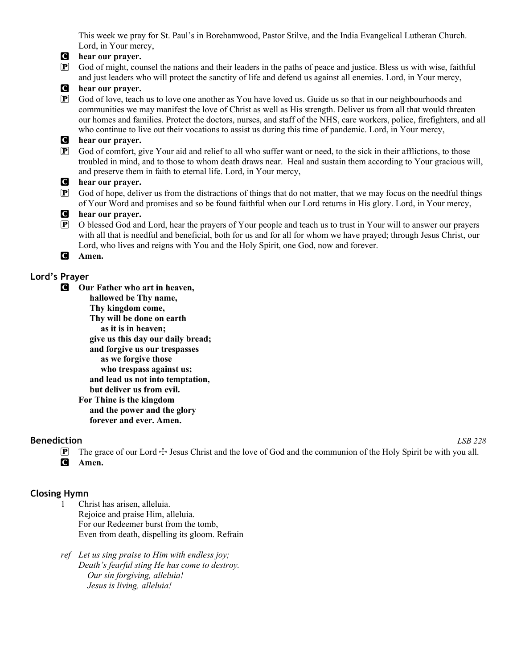This week we pray for St. Paul's in Borehamwood, Pastor Stilve, and the India Evangelical Lutheran Church. Lord, in Your mercy,

### C **hear our prayer.**

P God of might, counsel the nations and their leaders in the paths of peace and justice. Bless us with wise, faithful and just leaders who will protect the sanctity of life and defend us against all enemies. Lord, in Your mercy,

#### C **hear our prayer.**

P God of love, teach us to love one another as You have loved us. Guide us so that in our neighbourhoods and communities we may manifest the love of Christ as well as His strength. Deliver us from all that would threaten our homes and families. Protect the doctors, nurses, and staff of the NHS, care workers, police, firefighters, and all who continue to live out their vocations to assist us during this time of pandemic. Lord, in Your mercy,

#### C **hear our prayer.**

P God of comfort, give Your aid and relief to all who suffer want or need, to the sick in their afflictions, to those troubled in mind, and to those to whom death draws near. Heal and sustain them according to Your gracious will, and preserve them in faith to eternal life. Lord, in Your mercy,

#### C **hear our prayer.**

 $\mathbf{P}$  God of hope, deliver us from the distractions of things that do not matter, that we may focus on the needful things of Your Word and promises and so be found faithful when our Lord returns in His glory. Lord, in Your mercy,

#### C **hear our prayer.**

 $\overline{P}$  O blessed God and Lord, hear the prayers of Your people and teach us to trust in Your will to answer our prayers with all that is needful and beneficial, both for us and for all for whom we have prayed; through Jesus Christ, our Lord, who lives and reigns with You and the Holy Spirit, one God, now and forever.

#### C **Amen.**

## **Lord's Prayer**

C **Our Father who art in heaven, hallowed be Thy name, Thy kingdom come, Thy will be done on earth as it is in heaven; give us this day our daily bread; and forgive us our trespasses as we forgive those who trespass against us; and lead us not into temptation, but deliver us from evil. For Thine is the kingdom and the power and the glory forever and ever. Amen.**

### **Benediction** *LSB 228*

 $\mathbb{P}$  The grace of our Lord  $\div$  Jesus Christ and the love of God and the communion of the Holy Spirit be with you all. C **Amen.**

# **Closing Hymn**

- 1 Christ has arisen, alleluia. Rejoice and praise Him, alleluia. For our Redeemer burst from the tomb, Even from death, dispelling its gloom. Refrain
- *ref Let us sing praise to Him with endless joy; Death's fearful sting He has come to destroy. Our sin forgiving, alleluia! Jesus is living, alleluia!*